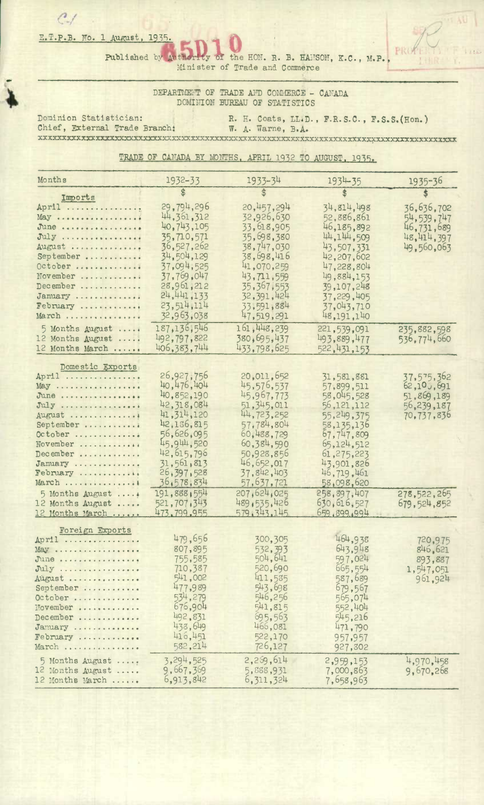## E.T.P.B. No. 1 August, 1935.

 $c$ 

Published by Authority of the HON. R. B. HANSON, K.C., M.P., FROM Minister of Trade and Commerce

**IT AU** 

DEPARTMENT OF TRADE AND COMMERCE - CANADA DOMINION BUREAU OF STATISTICS

TRADE OF CANADA BY MONTHS, APRIL 1932 TO AUGUST, 1935.

| \$<br>Imports<br>29,794,296<br>20, 457, 294<br>34,814,498<br>36,636,702<br>April<br>44, 361, 312<br>32,926,630<br>52,886,861<br>54, 539, 747<br>May<br>40, 743, 105<br>33, 618, 905<br>46,185,892<br>46,731,689<br>June<br>44,144,509<br>35,710,571<br>35,698,380<br>48, 414, 397<br>July<br>36,527,262<br>38,747,030<br>43,507,331<br>49,560,063<br>August<br>34,504,129<br>38,698,416<br>42,207,602<br>September<br>37,094,525<br>41,070,259<br>October<br>47,228,804<br>37,769,047<br>November<br>43,711,559<br>49,884,153<br>28,961,212<br>35,367,553<br>December<br>39,107,248<br>24,441,133<br>32, 391, 424<br>January<br>37,229,405<br>23,514,114<br>33,591,884<br>37,043,710<br>February<br>32,963,038<br>47,519,291<br>48,191,140<br>March<br>187, 136, 546<br>161,448,239<br>5 Months August<br>221,539,091<br>235,882,598<br>492,797,822<br>380,695,437<br>493,889,477<br>536,774,660<br>12 Months August<br>406,383,744<br>433,798,625<br>12 Months March<br>522, 431, 153<br>Domestic Exports<br>26,927,756<br>20,011,652<br>37,575,362<br>April<br>31,581,881<br>40,476,404<br>45,576,537<br>62,100,691<br>May<br>57,899,511<br>40,852,190<br>45,967.773<br>58,045,528<br>51,869,189<br>June<br>42, 318, 084<br>51, 345, 011<br>56,121,112<br>56,239,187<br>July<br>41, 314, 120<br>44,723,252<br>55, 249, 375<br>August<br>70,737,836<br>42,136,815<br>57,784,804<br>58,135,136<br>September<br>56,626,095<br>60,488,729<br>67,747,809<br>October<br>45,944,520<br>60,384,590<br>65,124,512<br>November<br>42, 615, 796<br>50,928,856<br>61, 275, 223<br>December<br>46,652,017<br>31,561,813<br>43,901,826<br>January<br>26, 397, 528<br>37,842,403<br>46,719,461<br>February<br>36,578,834<br>57,637,721<br>58,098,620<br>March<br>191,888,554<br>207,624,025<br>258, 897, 407<br>278, 522, 265<br>5 Months August<br>521,707,343<br>489, 535, 426<br>630, 616, 527<br>12 Months August<br>679, 524, 852<br>579.343.145<br>473.799.955<br>659.899.994<br>12 Months March<br>Foreign Exports<br>479,656<br>464,938<br>300, 305<br>April<br>720,975<br>643.948<br>807,895<br>532,393<br>846,621<br>May<br>504,641<br>755,585<br>597,024<br>June<br>893,887<br>520,690<br>665,554<br>710,387<br>July<br>1,547,051<br>541,002<br>411,585<br>587,689<br>August<br>961,924<br>543,698<br>477,989<br>679,567<br>September<br>534,279<br>546,256<br>565,074<br>October<br>676,904<br>541,815<br>552,404<br>November<br>492,831<br>695,563<br>545,216<br>December<br>438,649<br>466,081<br>471,790<br>January<br>416,451<br>522,170<br>February<br>957,957<br>582,214<br>726,127<br>March<br>927,302<br>2,259,614<br>3,294,525<br>4,970,458<br>5 Months August<br>2,959,153<br>9,667,369<br>5,888,931<br>7,000,863<br>9,670,268<br>12 Months August | Months          | 1932-33   | 1933-34     | $1934 - 35$ | 1935-36 |
|-------------------------------------------------------------------------------------------------------------------------------------------------------------------------------------------------------------------------------------------------------------------------------------------------------------------------------------------------------------------------------------------------------------------------------------------------------------------------------------------------------------------------------------------------------------------------------------------------------------------------------------------------------------------------------------------------------------------------------------------------------------------------------------------------------------------------------------------------------------------------------------------------------------------------------------------------------------------------------------------------------------------------------------------------------------------------------------------------------------------------------------------------------------------------------------------------------------------------------------------------------------------------------------------------------------------------------------------------------------------------------------------------------------------------------------------------------------------------------------------------------------------------------------------------------------------------------------------------------------------------------------------------------------------------------------------------------------------------------------------------------------------------------------------------------------------------------------------------------------------------------------------------------------------------------------------------------------------------------------------------------------------------------------------------------------------------------------------------------------------------------------------------------------------------------------------------------------------------------------------------------------------------------------------------------------------------------------------------------------------------------------------------------------------------------------------------------------------------------------------------------------------------------------------------------------------------------------------------------------------------------------------------------------------------------------------------------------------------------------------------------------|-----------------|-----------|-------------|-------------|---------|
|                                                                                                                                                                                                                                                                                                                                                                                                                                                                                                                                                                                                                                                                                                                                                                                                                                                                                                                                                                                                                                                                                                                                                                                                                                                                                                                                                                                                                                                                                                                                                                                                                                                                                                                                                                                                                                                                                                                                                                                                                                                                                                                                                                                                                                                                                                                                                                                                                                                                                                                                                                                                                                                                                                                                                             |                 |           |             |             |         |
|                                                                                                                                                                                                                                                                                                                                                                                                                                                                                                                                                                                                                                                                                                                                                                                                                                                                                                                                                                                                                                                                                                                                                                                                                                                                                                                                                                                                                                                                                                                                                                                                                                                                                                                                                                                                                                                                                                                                                                                                                                                                                                                                                                                                                                                                                                                                                                                                                                                                                                                                                                                                                                                                                                                                                             |                 |           |             |             |         |
|                                                                                                                                                                                                                                                                                                                                                                                                                                                                                                                                                                                                                                                                                                                                                                                                                                                                                                                                                                                                                                                                                                                                                                                                                                                                                                                                                                                                                                                                                                                                                                                                                                                                                                                                                                                                                                                                                                                                                                                                                                                                                                                                                                                                                                                                                                                                                                                                                                                                                                                                                                                                                                                                                                                                                             |                 |           |             |             |         |
|                                                                                                                                                                                                                                                                                                                                                                                                                                                                                                                                                                                                                                                                                                                                                                                                                                                                                                                                                                                                                                                                                                                                                                                                                                                                                                                                                                                                                                                                                                                                                                                                                                                                                                                                                                                                                                                                                                                                                                                                                                                                                                                                                                                                                                                                                                                                                                                                                                                                                                                                                                                                                                                                                                                                                             |                 |           |             |             |         |
|                                                                                                                                                                                                                                                                                                                                                                                                                                                                                                                                                                                                                                                                                                                                                                                                                                                                                                                                                                                                                                                                                                                                                                                                                                                                                                                                                                                                                                                                                                                                                                                                                                                                                                                                                                                                                                                                                                                                                                                                                                                                                                                                                                                                                                                                                                                                                                                                                                                                                                                                                                                                                                                                                                                                                             |                 |           |             |             |         |
|                                                                                                                                                                                                                                                                                                                                                                                                                                                                                                                                                                                                                                                                                                                                                                                                                                                                                                                                                                                                                                                                                                                                                                                                                                                                                                                                                                                                                                                                                                                                                                                                                                                                                                                                                                                                                                                                                                                                                                                                                                                                                                                                                                                                                                                                                                                                                                                                                                                                                                                                                                                                                                                                                                                                                             |                 |           |             |             |         |
|                                                                                                                                                                                                                                                                                                                                                                                                                                                                                                                                                                                                                                                                                                                                                                                                                                                                                                                                                                                                                                                                                                                                                                                                                                                                                                                                                                                                                                                                                                                                                                                                                                                                                                                                                                                                                                                                                                                                                                                                                                                                                                                                                                                                                                                                                                                                                                                                                                                                                                                                                                                                                                                                                                                                                             |                 |           |             |             |         |
|                                                                                                                                                                                                                                                                                                                                                                                                                                                                                                                                                                                                                                                                                                                                                                                                                                                                                                                                                                                                                                                                                                                                                                                                                                                                                                                                                                                                                                                                                                                                                                                                                                                                                                                                                                                                                                                                                                                                                                                                                                                                                                                                                                                                                                                                                                                                                                                                                                                                                                                                                                                                                                                                                                                                                             |                 |           |             |             |         |
|                                                                                                                                                                                                                                                                                                                                                                                                                                                                                                                                                                                                                                                                                                                                                                                                                                                                                                                                                                                                                                                                                                                                                                                                                                                                                                                                                                                                                                                                                                                                                                                                                                                                                                                                                                                                                                                                                                                                                                                                                                                                                                                                                                                                                                                                                                                                                                                                                                                                                                                                                                                                                                                                                                                                                             |                 |           |             |             |         |
|                                                                                                                                                                                                                                                                                                                                                                                                                                                                                                                                                                                                                                                                                                                                                                                                                                                                                                                                                                                                                                                                                                                                                                                                                                                                                                                                                                                                                                                                                                                                                                                                                                                                                                                                                                                                                                                                                                                                                                                                                                                                                                                                                                                                                                                                                                                                                                                                                                                                                                                                                                                                                                                                                                                                                             |                 |           |             |             |         |
|                                                                                                                                                                                                                                                                                                                                                                                                                                                                                                                                                                                                                                                                                                                                                                                                                                                                                                                                                                                                                                                                                                                                                                                                                                                                                                                                                                                                                                                                                                                                                                                                                                                                                                                                                                                                                                                                                                                                                                                                                                                                                                                                                                                                                                                                                                                                                                                                                                                                                                                                                                                                                                                                                                                                                             |                 |           |             |             |         |
|                                                                                                                                                                                                                                                                                                                                                                                                                                                                                                                                                                                                                                                                                                                                                                                                                                                                                                                                                                                                                                                                                                                                                                                                                                                                                                                                                                                                                                                                                                                                                                                                                                                                                                                                                                                                                                                                                                                                                                                                                                                                                                                                                                                                                                                                                                                                                                                                                                                                                                                                                                                                                                                                                                                                                             |                 |           |             |             |         |
|                                                                                                                                                                                                                                                                                                                                                                                                                                                                                                                                                                                                                                                                                                                                                                                                                                                                                                                                                                                                                                                                                                                                                                                                                                                                                                                                                                                                                                                                                                                                                                                                                                                                                                                                                                                                                                                                                                                                                                                                                                                                                                                                                                                                                                                                                                                                                                                                                                                                                                                                                                                                                                                                                                                                                             |                 |           |             |             |         |
|                                                                                                                                                                                                                                                                                                                                                                                                                                                                                                                                                                                                                                                                                                                                                                                                                                                                                                                                                                                                                                                                                                                                                                                                                                                                                                                                                                                                                                                                                                                                                                                                                                                                                                                                                                                                                                                                                                                                                                                                                                                                                                                                                                                                                                                                                                                                                                                                                                                                                                                                                                                                                                                                                                                                                             |                 |           |             |             |         |
|                                                                                                                                                                                                                                                                                                                                                                                                                                                                                                                                                                                                                                                                                                                                                                                                                                                                                                                                                                                                                                                                                                                                                                                                                                                                                                                                                                                                                                                                                                                                                                                                                                                                                                                                                                                                                                                                                                                                                                                                                                                                                                                                                                                                                                                                                                                                                                                                                                                                                                                                                                                                                                                                                                                                                             |                 |           |             |             |         |
|                                                                                                                                                                                                                                                                                                                                                                                                                                                                                                                                                                                                                                                                                                                                                                                                                                                                                                                                                                                                                                                                                                                                                                                                                                                                                                                                                                                                                                                                                                                                                                                                                                                                                                                                                                                                                                                                                                                                                                                                                                                                                                                                                                                                                                                                                                                                                                                                                                                                                                                                                                                                                                                                                                                                                             |                 |           |             |             |         |
|                                                                                                                                                                                                                                                                                                                                                                                                                                                                                                                                                                                                                                                                                                                                                                                                                                                                                                                                                                                                                                                                                                                                                                                                                                                                                                                                                                                                                                                                                                                                                                                                                                                                                                                                                                                                                                                                                                                                                                                                                                                                                                                                                                                                                                                                                                                                                                                                                                                                                                                                                                                                                                                                                                                                                             |                 |           |             |             |         |
|                                                                                                                                                                                                                                                                                                                                                                                                                                                                                                                                                                                                                                                                                                                                                                                                                                                                                                                                                                                                                                                                                                                                                                                                                                                                                                                                                                                                                                                                                                                                                                                                                                                                                                                                                                                                                                                                                                                                                                                                                                                                                                                                                                                                                                                                                                                                                                                                                                                                                                                                                                                                                                                                                                                                                             |                 |           |             |             |         |
|                                                                                                                                                                                                                                                                                                                                                                                                                                                                                                                                                                                                                                                                                                                                                                                                                                                                                                                                                                                                                                                                                                                                                                                                                                                                                                                                                                                                                                                                                                                                                                                                                                                                                                                                                                                                                                                                                                                                                                                                                                                                                                                                                                                                                                                                                                                                                                                                                                                                                                                                                                                                                                                                                                                                                             |                 |           |             |             |         |
|                                                                                                                                                                                                                                                                                                                                                                                                                                                                                                                                                                                                                                                                                                                                                                                                                                                                                                                                                                                                                                                                                                                                                                                                                                                                                                                                                                                                                                                                                                                                                                                                                                                                                                                                                                                                                                                                                                                                                                                                                                                                                                                                                                                                                                                                                                                                                                                                                                                                                                                                                                                                                                                                                                                                                             |                 |           |             |             |         |
|                                                                                                                                                                                                                                                                                                                                                                                                                                                                                                                                                                                                                                                                                                                                                                                                                                                                                                                                                                                                                                                                                                                                                                                                                                                                                                                                                                                                                                                                                                                                                                                                                                                                                                                                                                                                                                                                                                                                                                                                                                                                                                                                                                                                                                                                                                                                                                                                                                                                                                                                                                                                                                                                                                                                                             |                 |           |             |             |         |
|                                                                                                                                                                                                                                                                                                                                                                                                                                                                                                                                                                                                                                                                                                                                                                                                                                                                                                                                                                                                                                                                                                                                                                                                                                                                                                                                                                                                                                                                                                                                                                                                                                                                                                                                                                                                                                                                                                                                                                                                                                                                                                                                                                                                                                                                                                                                                                                                                                                                                                                                                                                                                                                                                                                                                             |                 |           |             |             |         |
|                                                                                                                                                                                                                                                                                                                                                                                                                                                                                                                                                                                                                                                                                                                                                                                                                                                                                                                                                                                                                                                                                                                                                                                                                                                                                                                                                                                                                                                                                                                                                                                                                                                                                                                                                                                                                                                                                                                                                                                                                                                                                                                                                                                                                                                                                                                                                                                                                                                                                                                                                                                                                                                                                                                                                             |                 |           |             |             |         |
|                                                                                                                                                                                                                                                                                                                                                                                                                                                                                                                                                                                                                                                                                                                                                                                                                                                                                                                                                                                                                                                                                                                                                                                                                                                                                                                                                                                                                                                                                                                                                                                                                                                                                                                                                                                                                                                                                                                                                                                                                                                                                                                                                                                                                                                                                                                                                                                                                                                                                                                                                                                                                                                                                                                                                             |                 |           |             |             |         |
|                                                                                                                                                                                                                                                                                                                                                                                                                                                                                                                                                                                                                                                                                                                                                                                                                                                                                                                                                                                                                                                                                                                                                                                                                                                                                                                                                                                                                                                                                                                                                                                                                                                                                                                                                                                                                                                                                                                                                                                                                                                                                                                                                                                                                                                                                                                                                                                                                                                                                                                                                                                                                                                                                                                                                             |                 |           |             |             |         |
|                                                                                                                                                                                                                                                                                                                                                                                                                                                                                                                                                                                                                                                                                                                                                                                                                                                                                                                                                                                                                                                                                                                                                                                                                                                                                                                                                                                                                                                                                                                                                                                                                                                                                                                                                                                                                                                                                                                                                                                                                                                                                                                                                                                                                                                                                                                                                                                                                                                                                                                                                                                                                                                                                                                                                             |                 |           |             |             |         |
|                                                                                                                                                                                                                                                                                                                                                                                                                                                                                                                                                                                                                                                                                                                                                                                                                                                                                                                                                                                                                                                                                                                                                                                                                                                                                                                                                                                                                                                                                                                                                                                                                                                                                                                                                                                                                                                                                                                                                                                                                                                                                                                                                                                                                                                                                                                                                                                                                                                                                                                                                                                                                                                                                                                                                             |                 |           |             |             |         |
|                                                                                                                                                                                                                                                                                                                                                                                                                                                                                                                                                                                                                                                                                                                                                                                                                                                                                                                                                                                                                                                                                                                                                                                                                                                                                                                                                                                                                                                                                                                                                                                                                                                                                                                                                                                                                                                                                                                                                                                                                                                                                                                                                                                                                                                                                                                                                                                                                                                                                                                                                                                                                                                                                                                                                             |                 |           |             |             |         |
|                                                                                                                                                                                                                                                                                                                                                                                                                                                                                                                                                                                                                                                                                                                                                                                                                                                                                                                                                                                                                                                                                                                                                                                                                                                                                                                                                                                                                                                                                                                                                                                                                                                                                                                                                                                                                                                                                                                                                                                                                                                                                                                                                                                                                                                                                                                                                                                                                                                                                                                                                                                                                                                                                                                                                             |                 |           |             |             |         |
|                                                                                                                                                                                                                                                                                                                                                                                                                                                                                                                                                                                                                                                                                                                                                                                                                                                                                                                                                                                                                                                                                                                                                                                                                                                                                                                                                                                                                                                                                                                                                                                                                                                                                                                                                                                                                                                                                                                                                                                                                                                                                                                                                                                                                                                                                                                                                                                                                                                                                                                                                                                                                                                                                                                                                             |                 |           |             |             |         |
|                                                                                                                                                                                                                                                                                                                                                                                                                                                                                                                                                                                                                                                                                                                                                                                                                                                                                                                                                                                                                                                                                                                                                                                                                                                                                                                                                                                                                                                                                                                                                                                                                                                                                                                                                                                                                                                                                                                                                                                                                                                                                                                                                                                                                                                                                                                                                                                                                                                                                                                                                                                                                                                                                                                                                             |                 |           |             |             |         |
|                                                                                                                                                                                                                                                                                                                                                                                                                                                                                                                                                                                                                                                                                                                                                                                                                                                                                                                                                                                                                                                                                                                                                                                                                                                                                                                                                                                                                                                                                                                                                                                                                                                                                                                                                                                                                                                                                                                                                                                                                                                                                                                                                                                                                                                                                                                                                                                                                                                                                                                                                                                                                                                                                                                                                             |                 |           |             |             |         |
|                                                                                                                                                                                                                                                                                                                                                                                                                                                                                                                                                                                                                                                                                                                                                                                                                                                                                                                                                                                                                                                                                                                                                                                                                                                                                                                                                                                                                                                                                                                                                                                                                                                                                                                                                                                                                                                                                                                                                                                                                                                                                                                                                                                                                                                                                                                                                                                                                                                                                                                                                                                                                                                                                                                                                             |                 |           |             |             |         |
|                                                                                                                                                                                                                                                                                                                                                                                                                                                                                                                                                                                                                                                                                                                                                                                                                                                                                                                                                                                                                                                                                                                                                                                                                                                                                                                                                                                                                                                                                                                                                                                                                                                                                                                                                                                                                                                                                                                                                                                                                                                                                                                                                                                                                                                                                                                                                                                                                                                                                                                                                                                                                                                                                                                                                             |                 |           |             |             |         |
|                                                                                                                                                                                                                                                                                                                                                                                                                                                                                                                                                                                                                                                                                                                                                                                                                                                                                                                                                                                                                                                                                                                                                                                                                                                                                                                                                                                                                                                                                                                                                                                                                                                                                                                                                                                                                                                                                                                                                                                                                                                                                                                                                                                                                                                                                                                                                                                                                                                                                                                                                                                                                                                                                                                                                             |                 |           |             |             |         |
|                                                                                                                                                                                                                                                                                                                                                                                                                                                                                                                                                                                                                                                                                                                                                                                                                                                                                                                                                                                                                                                                                                                                                                                                                                                                                                                                                                                                                                                                                                                                                                                                                                                                                                                                                                                                                                                                                                                                                                                                                                                                                                                                                                                                                                                                                                                                                                                                                                                                                                                                                                                                                                                                                                                                                             |                 |           |             |             |         |
|                                                                                                                                                                                                                                                                                                                                                                                                                                                                                                                                                                                                                                                                                                                                                                                                                                                                                                                                                                                                                                                                                                                                                                                                                                                                                                                                                                                                                                                                                                                                                                                                                                                                                                                                                                                                                                                                                                                                                                                                                                                                                                                                                                                                                                                                                                                                                                                                                                                                                                                                                                                                                                                                                                                                                             |                 |           |             |             |         |
|                                                                                                                                                                                                                                                                                                                                                                                                                                                                                                                                                                                                                                                                                                                                                                                                                                                                                                                                                                                                                                                                                                                                                                                                                                                                                                                                                                                                                                                                                                                                                                                                                                                                                                                                                                                                                                                                                                                                                                                                                                                                                                                                                                                                                                                                                                                                                                                                                                                                                                                                                                                                                                                                                                                                                             |                 |           |             |             |         |
|                                                                                                                                                                                                                                                                                                                                                                                                                                                                                                                                                                                                                                                                                                                                                                                                                                                                                                                                                                                                                                                                                                                                                                                                                                                                                                                                                                                                                                                                                                                                                                                                                                                                                                                                                                                                                                                                                                                                                                                                                                                                                                                                                                                                                                                                                                                                                                                                                                                                                                                                                                                                                                                                                                                                                             |                 |           |             |             |         |
|                                                                                                                                                                                                                                                                                                                                                                                                                                                                                                                                                                                                                                                                                                                                                                                                                                                                                                                                                                                                                                                                                                                                                                                                                                                                                                                                                                                                                                                                                                                                                                                                                                                                                                                                                                                                                                                                                                                                                                                                                                                                                                                                                                                                                                                                                                                                                                                                                                                                                                                                                                                                                                                                                                                                                             |                 |           |             |             |         |
|                                                                                                                                                                                                                                                                                                                                                                                                                                                                                                                                                                                                                                                                                                                                                                                                                                                                                                                                                                                                                                                                                                                                                                                                                                                                                                                                                                                                                                                                                                                                                                                                                                                                                                                                                                                                                                                                                                                                                                                                                                                                                                                                                                                                                                                                                                                                                                                                                                                                                                                                                                                                                                                                                                                                                             |                 |           |             |             |         |
|                                                                                                                                                                                                                                                                                                                                                                                                                                                                                                                                                                                                                                                                                                                                                                                                                                                                                                                                                                                                                                                                                                                                                                                                                                                                                                                                                                                                                                                                                                                                                                                                                                                                                                                                                                                                                                                                                                                                                                                                                                                                                                                                                                                                                                                                                                                                                                                                                                                                                                                                                                                                                                                                                                                                                             |                 |           |             |             |         |
|                                                                                                                                                                                                                                                                                                                                                                                                                                                                                                                                                                                                                                                                                                                                                                                                                                                                                                                                                                                                                                                                                                                                                                                                                                                                                                                                                                                                                                                                                                                                                                                                                                                                                                                                                                                                                                                                                                                                                                                                                                                                                                                                                                                                                                                                                                                                                                                                                                                                                                                                                                                                                                                                                                                                                             |                 |           |             |             |         |
|                                                                                                                                                                                                                                                                                                                                                                                                                                                                                                                                                                                                                                                                                                                                                                                                                                                                                                                                                                                                                                                                                                                                                                                                                                                                                                                                                                                                                                                                                                                                                                                                                                                                                                                                                                                                                                                                                                                                                                                                                                                                                                                                                                                                                                                                                                                                                                                                                                                                                                                                                                                                                                                                                                                                                             |                 |           |             |             |         |
|                                                                                                                                                                                                                                                                                                                                                                                                                                                                                                                                                                                                                                                                                                                                                                                                                                                                                                                                                                                                                                                                                                                                                                                                                                                                                                                                                                                                                                                                                                                                                                                                                                                                                                                                                                                                                                                                                                                                                                                                                                                                                                                                                                                                                                                                                                                                                                                                                                                                                                                                                                                                                                                                                                                                                             |                 |           |             |             |         |
|                                                                                                                                                                                                                                                                                                                                                                                                                                                                                                                                                                                                                                                                                                                                                                                                                                                                                                                                                                                                                                                                                                                                                                                                                                                                                                                                                                                                                                                                                                                                                                                                                                                                                                                                                                                                                                                                                                                                                                                                                                                                                                                                                                                                                                                                                                                                                                                                                                                                                                                                                                                                                                                                                                                                                             |                 |           |             |             |         |
|                                                                                                                                                                                                                                                                                                                                                                                                                                                                                                                                                                                                                                                                                                                                                                                                                                                                                                                                                                                                                                                                                                                                                                                                                                                                                                                                                                                                                                                                                                                                                                                                                                                                                                                                                                                                                                                                                                                                                                                                                                                                                                                                                                                                                                                                                                                                                                                                                                                                                                                                                                                                                                                                                                                                                             |                 |           |             |             |         |
|                                                                                                                                                                                                                                                                                                                                                                                                                                                                                                                                                                                                                                                                                                                                                                                                                                                                                                                                                                                                                                                                                                                                                                                                                                                                                                                                                                                                                                                                                                                                                                                                                                                                                                                                                                                                                                                                                                                                                                                                                                                                                                                                                                                                                                                                                                                                                                                                                                                                                                                                                                                                                                                                                                                                                             |                 |           |             |             |         |
|                                                                                                                                                                                                                                                                                                                                                                                                                                                                                                                                                                                                                                                                                                                                                                                                                                                                                                                                                                                                                                                                                                                                                                                                                                                                                                                                                                                                                                                                                                                                                                                                                                                                                                                                                                                                                                                                                                                                                                                                                                                                                                                                                                                                                                                                                                                                                                                                                                                                                                                                                                                                                                                                                                                                                             |                 |           |             |             |         |
|                                                                                                                                                                                                                                                                                                                                                                                                                                                                                                                                                                                                                                                                                                                                                                                                                                                                                                                                                                                                                                                                                                                                                                                                                                                                                                                                                                                                                                                                                                                                                                                                                                                                                                                                                                                                                                                                                                                                                                                                                                                                                                                                                                                                                                                                                                                                                                                                                                                                                                                                                                                                                                                                                                                                                             | 12 Months March | 6,913,842 | 6, 311, 324 | 7,658,963   |         |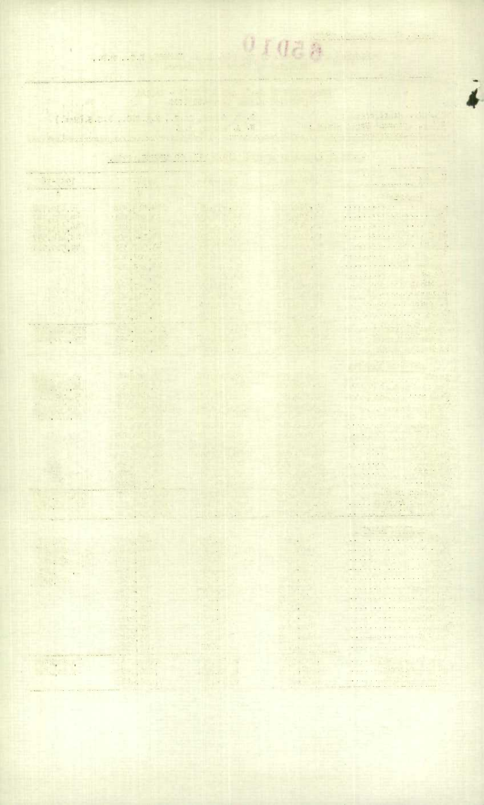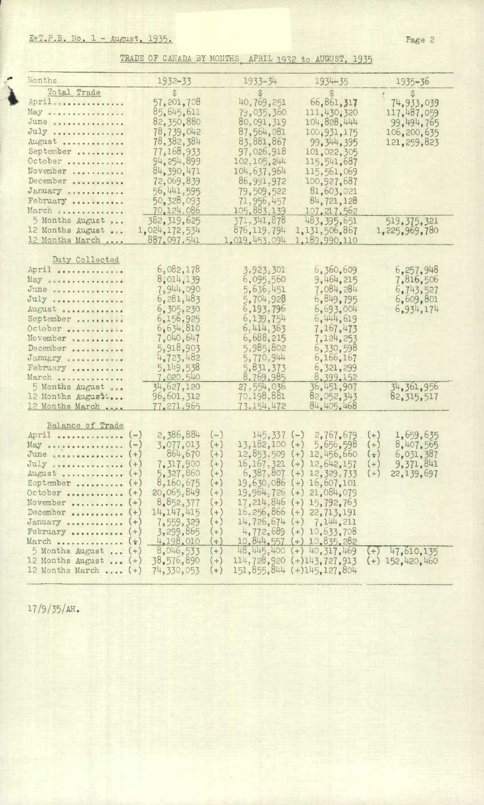TRADE OF CANADA BY MONTHS, APRIL 1932 to AUGUST, 1935

| Months                                                                                                                                                                                                                             |       | 1932-33       |       | $1933 - 34$                                    | 1934-35                       |       | 1935-36           |
|------------------------------------------------------------------------------------------------------------------------------------------------------------------------------------------------------------------------------------|-------|---------------|-------|------------------------------------------------|-------------------------------|-------|-------------------|
| Total Trade                                                                                                                                                                                                                        |       | $\frac{1}{2}$ |       | $\begin{array}{ccc} \circ & \circ \end{array}$ | $\int$                        |       | $\frac{1}{2}$     |
| April                                                                                                                                                                                                                              |       | 57,201,708    |       | 40,769,251                                     | 66,861,317                    |       | 74,933,039        |
| May ansessessessesses                                                                                                                                                                                                              |       | 85, 645, 611  |       | 79,035,360                                     | 111,430,320                   |       | 117,487,059       |
| June                                                                                                                                                                                                                               |       | 82,350,880    |       | 80,091,319                                     | 104,828,444                   |       | 99,494,765        |
| July                                                                                                                                                                                                                               |       | 78,739,042    |       | 87,564,081                                     | 100,931,175                   |       | 106,200,635       |
| August                                                                                                                                                                                                                             |       | 78,382,384    |       | 83,881,867                                     | 99, 344, 395                  |       | 121, 259, 823     |
| September                                                                                                                                                                                                                          |       | 77,168,933    |       | 97,026,918                                     | 101,022,305                   |       |                   |
| October                                                                                                                                                                                                                            |       | 94, 254, 899  |       |                                                |                               |       |                   |
|                                                                                                                                                                                                                                    |       |               |       | 102, 105, 244                                  | 115,541,687                   |       |                   |
| November                                                                                                                                                                                                                           |       | 84,390,471    |       | 104, 637, 964                                  | 115,561,069                   |       |                   |
| December                                                                                                                                                                                                                           |       | 72,069,839    |       | 86,991.972                                     | 100,927,687                   |       |                   |
| January                                                                                                                                                                                                                            |       | 56, 441, 595  |       | 79,509,522                                     | 81,603,021                    |       |                   |
| February                                                                                                                                                                                                                           |       | 50,328.093    |       | 71,956,457                                     | 84, 721, 128                  |       |                   |
| March                                                                                                                                                                                                                              |       | 70,124.086    |       | 105, 883, 139                                  | 107.217.562                   |       |                   |
| 5 Months August                                                                                                                                                                                                                    |       | 382, 319, 625 |       | 371, 341, 878                                  | 483, 395, 651                 |       | 519, 375, 321     |
| 12 Months August                                                                                                                                                                                                                   |       | 1,024,172,534 |       | 876,119.794                                    | 1, 131, 506, 867              |       | 1,225,969,780     |
| 12 Months March                                                                                                                                                                                                                    |       | 887.097.541   |       | 1.019.453.094                                  | 1,189,990,110                 |       |                   |
|                                                                                                                                                                                                                                    |       |               |       |                                                |                               |       |                   |
| Duty Collected                                                                                                                                                                                                                     |       |               |       |                                                |                               |       |                   |
| April                                                                                                                                                                                                                              |       | 6,082,178     |       | 3.923.301                                      | 6,360,609                     |       | 6,257,948         |
| May accessive                                                                                                                                                                                                                      |       | 8,014,139     |       | 6,095,560                                      | 9,464,215                     |       | 7,816,506         |
| June                                                                                                                                                                                                                               |       | 7,944,090     |       | 5,636,451                                      | 7.084,284                     |       | 6,743,527         |
| July                                                                                                                                                                                                                               |       | 6,281,483     |       | 5,704,928                                      | 6,849,795                     |       | 6,609,801         |
| August                                                                                                                                                                                                                             |       | 6,305.230     |       | 6,193,796                                      | 6,693.004                     |       | 6.934.174         |
| September                                                                                                                                                                                                                          |       | 6,156,925     |       | 6,139,754                                      | 6,444,619                     |       |                   |
| October                                                                                                                                                                                                                            |       | 6,634,810     |       | 6.414,363                                      | 7, 167, 473                   |       |                   |
| November                                                                                                                                                                                                                           |       | 7,040,647     |       | 6,688,215                                      | 7,124,253                     |       |                   |
| December                                                                                                                                                                                                                           |       | 5,918,903     |       | 5,985,802                                      | 6,330,598                     |       |                   |
| January                                                                                                                                                                                                                            |       | 4,723,482     |       | 5,770,944                                      | 6,166,167                     |       |                   |
| February                                                                                                                                                                                                                           |       | 5,149,538     |       | 5,831,373                                      | 6, 321, 299                   |       |                   |
| March                                                                                                                                                                                                                              |       | 7,020.540     |       | 8,769,985                                      | 8,399,152                     |       |                   |
| 5 Months August                                                                                                                                                                                                                    |       | 34,627,120    |       | 27, 554, 036                                   | 36,451,907                    |       | 34, 361, 956      |
| 12 Months Augusti                                                                                                                                                                                                                  |       | 96,601,312    |       | 70,198,881                                     | 82,052,343                    |       | 82, 315, 517      |
| 12 Months March                                                                                                                                                                                                                    |       | 77.271,965    |       | 73.154,472                                     | 84.405.468                    |       |                   |
|                                                                                                                                                                                                                                    |       |               |       |                                                |                               |       |                   |
| Balance of Trade                                                                                                                                                                                                                   |       |               |       |                                                |                               |       |                   |
| April $\ldots$ (-)                                                                                                                                                                                                                 |       | 2,386,884     | $(-)$ |                                                | $145,337$ (-) 2,767,679       | $(+)$ | 1,659,635         |
|                                                                                                                                                                                                                                    | $(-)$ | 3,077,013     | $(+)$ | 13, 182, 100                                   | 5,656,598<br>$(+)$            |       | 8,407,565         |
| May occasional                                                                                                                                                                                                                     |       | 864,670       |       | 12,853,509                                     | 12,456,660                    | $(+)$ |                   |
| June <b>ondo</b> of the second of the second second second to the second second to the second second second to the second second second second second second second second second second second second second second second second | $(+)$ |               | $(+)$ | 16, 167, 321                                   | $(+)$                         | $(+)$ | 6,031,387         |
| July corrections.                                                                                                                                                                                                                  | $(+)$ | 7.317.900     | $(+)$ | 6,387,807                                      | 12, 642, 157<br>$(+)$         | $(+)$ | 9,371,841         |
| August                                                                                                                                                                                                                             | $(+)$ | 5,327,860     | $(+)$ |                                                | $(+)$ 12, 329. 733            | $(+)$ | 22, 139, 697      |
| September                                                                                                                                                                                                                          | $(+)$ | 8,160,675     | $(+)$ | 19,630,086                                     | $(+)$ 16,607,101              |       |                   |
| October                                                                                                                                                                                                                            | $(+)$ | 20,065,849    | $(+)$ | 19,964,726                                     | 21,084,079<br>$(+)$           |       |                   |
| November                                                                                                                                                                                                                           | $(+)$ | 8,852,377     | $(+)$ | 17, 214, 846                                   | $(+)$ 15,792,763              |       |                   |
| December                                                                                                                                                                                                                           | $(+)$ | 14, 147, 415  | $(+)$ | 16,256,866                                     | $(+)$ 22, 713, 191            |       |                   |
| January                                                                                                                                                                                                                            | $(+)$ | 7,559,329     | $(+)$ | 14,726,674                                     | $(+)$ 7, 144, 211             |       |                   |
| February                                                                                                                                                                                                                           | $(+)$ | 3,299,865     | $(+)$ |                                                | $4,772,689$ (+) 10,633,708    |       |                   |
| March                                                                                                                                                                                                                              | $(+)$ | 4,198,010     | $(+)$ | 10.844.557                                     | $(+)$ 10, 835, 282            |       |                   |
| 5 Months August                                                                                                                                                                                                                    | $(+)$ | 8,046,533     | $(+)$ |                                                | 48, 445, 400 (+) 40, 317, 469 |       | $(+)$ 47,610,135  |
| 12 Months August                                                                                                                                                                                                                   | $(+)$ | 38,576,890    | $(+)$ |                                                | 114,728,920 (+)143,727,913    |       | $(+)$ 152,420,460 |
| 12 Months March                                                                                                                                                                                                                    | $(+)$ | 74.330.053    | $(+)$ |                                                | 151.855.844 (+)145.127.804    |       |                   |

17/9/35/AH.